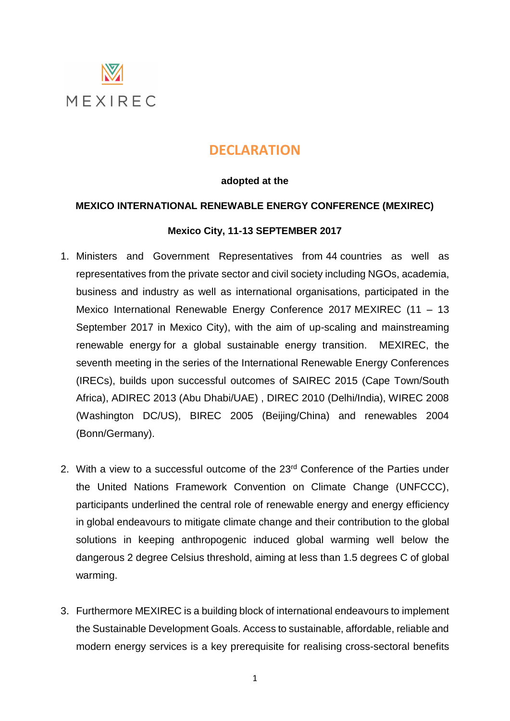

# **DECLARATION**

### **adopted at the**

# **MEXICO INTERNATIONAL RENEWABLE ENERGY CONFERENCE (MEXIREC)**

# **Mexico City, 11-13 SEPTEMBER 2017**

- 1. Ministers and Government Representatives from 44 countries as well as representatives from the private sector and civil society including NGOs, academia, business and industry as well as international organisations, participated in the Mexico International Renewable Energy Conference 2017 MEXIREC (11 – 13 September 2017 in Mexico City), with the aim of up-scaling and mainstreaming renewable energy for a global sustainable energy transition. MEXIREC, the seventh meeting in the series of the International Renewable Energy Conferences (IRECs), builds upon successful outcomes of SAIREC 2015 (Cape Town/South Africa), ADIREC 2013 (Abu Dhabi/UAE) , DIREC 2010 (Delhi/India), WIREC 2008 (Washington DC/US), BIREC 2005 (Beijing/China) and renewables 2004 (Bonn/Germany).
- 2. With a view to a successful outcome of the 23<sup>rd</sup> Conference of the Parties under the United Nations Framework Convention on Climate Change (UNFCCC), participants underlined the central role of renewable energy and energy efficiency in global endeavours to mitigate climate change and their contribution to the global solutions in keeping anthropogenic induced global warming well below the dangerous 2 degree Celsius threshold, aiming at less than 1.5 degrees C of global warming.
- 3. Furthermore MEXIREC is a building block of international endeavours to implement the Sustainable Development Goals. Access to sustainable, affordable, reliable and modern energy services is a key prerequisite for realising cross-sectoral benefits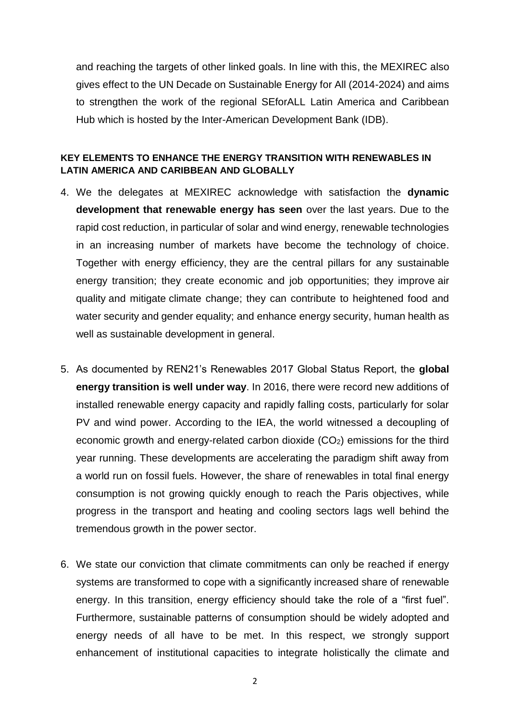and reaching the targets of other linked goals. In line with this, the MEXIREC also gives effect to the UN Decade on Sustainable Energy for All (2014-2024) and aims to strengthen the work of the regional SEforALL [Latin America and Caribbean](http://www.iadb.org/en/topics/energy/se4allamericas/)  [Hub](http://www.iadb.org/en/topics/energy/se4allamericas/) which is hosted by the Inter-American Development Bank (IDB).

### **KEY ELEMENTS TO ENHANCE THE ENERGY TRANSITION WITH RENEWABLES IN LATIN AMERICA AND CARIBBEAN AND GLOBALLY**

- 4. We the delegates at MEXIREC acknowledge with satisfaction the **dynamic development that renewable energy has seen** over the last years. Due to the rapid cost reduction, in particular of solar and wind energy, renewable technologies in an increasing number of markets have become the technology of choice. Together with energy efficiency, they are the central pillars for any sustainable energy transition; they create economic and job opportunities; they improve air quality and mitigate climate change; they can contribute to heightened food and water security and gender equality; and enhance energy security, human health as well as sustainable development in general.
- 5. As documented by REN21's Renewables 2017 Global Status Report, the **global energy transition is well under way**. In 2016, there were record new additions of installed renewable energy capacity and rapidly falling costs, particularly for solar PV and wind power. According to the IEA, the world witnessed a decoupling of economic growth and energy-related carbon dioxide  $(CO<sub>2</sub>)$  emissions for the third year running. These developments are accelerating the paradigm shift away from a world run on fossil fuels. However, the share of renewables in total final energy consumption is not growing quickly enough to reach the Paris objectives, while progress in the transport and heating and cooling sectors lags well behind the tremendous growth in the power sector.
- 6. We state our conviction that climate commitments can only be reached if energy systems are transformed to cope with a significantly increased share of renewable energy. In this transition, energy efficiency should take the role of a "first fuel". Furthermore, sustainable patterns of consumption should be widely adopted and energy needs of all have to be met. In this respect, we strongly support enhancement of institutional capacities to integrate holistically the climate and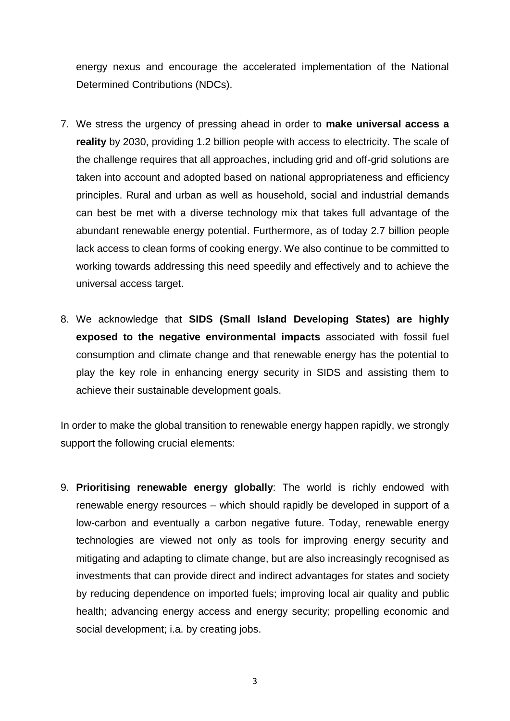energy nexus and encourage the accelerated implementation of the National Determined Contributions (NDCs).

- 7. We stress the urgency of pressing ahead in order to **make universal access a reality** by 2030, providing 1.2 billion people with access to electricity. The scale of the challenge requires that all approaches, including grid and off-grid solutions are taken into account and adopted based on national appropriateness and efficiency principles. Rural and urban as well as household, social and industrial demands can best be met with a diverse technology mix that takes full advantage of the abundant renewable energy potential. Furthermore, as of today 2.7 billion people lack access to clean forms of cooking energy. We also continue to be committed to working towards addressing this need speedily and effectively and to achieve the universal access target.
- 8. We acknowledge that **SIDS (Small Island Developing States) are highly exposed to the negative environmental impacts** associated with fossil fuel consumption and climate change and that renewable energy has the potential to play the key role in enhancing energy security in SIDS and assisting them to achieve their sustainable development goals.

In order to make the global transition to renewable energy happen rapidly, we strongly support the following crucial elements:

9. **Prioritising renewable energy globally**: The world is richly endowed with renewable energy resources – which should rapidly be developed in support of a low-carbon and eventually a carbon negative future. Today, renewable energy technologies are viewed not only as tools for improving energy security and mitigating and adapting to climate change, but are also increasingly recognised as investments that can provide direct and indirect advantages for states and society by reducing dependence on imported fuels; improving local air quality and public health; advancing energy access and energy security; propelling economic and social development; i.a. by creating jobs.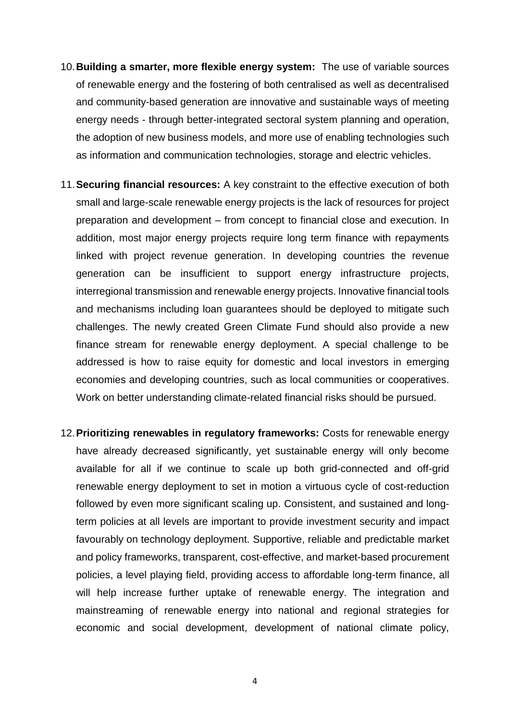- 10.**Building a smarter, more flexible energy system:** The use of variable sources of renewable energy and the fostering of both centralised as well as decentralised and community-based generation are innovative and sustainable ways of meeting energy needs - through better-integrated sectoral system planning and operation, the adoption of new business models, and more use of enabling technologies such as information and communication technologies, storage and electric vehicles.
- 11.**Securing financial resources:** A key constraint to the effective execution of both small and large-scale renewable energy projects is the lack of resources for project preparation and development – from concept to financial close and execution. In addition, most major energy projects require long term finance with repayments linked with project revenue generation. In developing countries the revenue generation can be insufficient to support energy infrastructure projects, interregional transmission and renewable energy projects. Innovative financial tools and mechanisms including loan guarantees should be deployed to mitigate such challenges. The newly created Green Climate Fund should also provide a new finance stream for renewable energy deployment. A special challenge to be addressed is how to raise equity for domestic and local investors in emerging economies and developing countries, such as local communities or cooperatives. Work on better understanding climate-related financial risks should be pursued.
- 12.**Prioritizing renewables in regulatory frameworks:** Costs for renewable energy have already decreased significantly, yet sustainable energy will only become available for all if we continue to scale up both grid-connected and off-grid renewable energy deployment to set in motion a virtuous cycle of cost-reduction followed by even more significant scaling up. Consistent, and sustained and longterm policies at all levels are important to provide investment security and impact favourably on technology deployment. Supportive, reliable and predictable market and policy frameworks, transparent, cost-effective, and market-based procurement policies, a level playing field, providing access to affordable long-term finance, all will help increase further uptake of renewable energy. The integration and mainstreaming of renewable energy into national and regional strategies for economic and social development, development of national climate policy,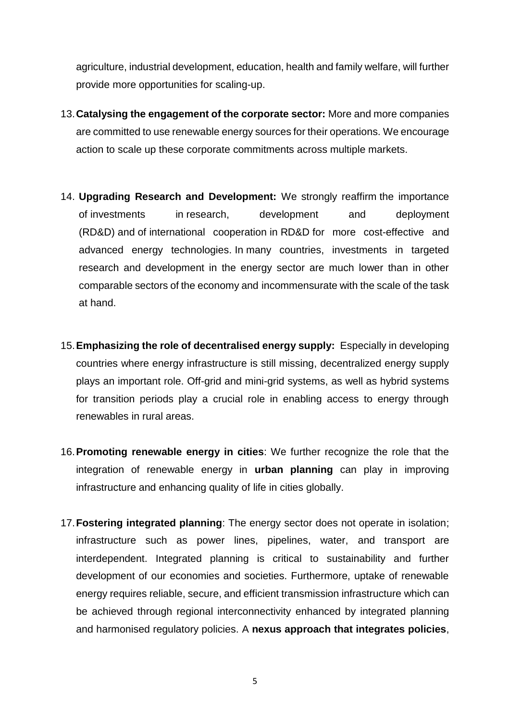agriculture, industrial development, education, health and family welfare, will further provide more opportunities for scaling-up.

- 13.**Catalysing the engagement of the corporate sector:** More and more companies are committed to use renewable energy sources for their operations. We encourage action to scale up these corporate commitments across multiple markets.
- 14. **Upgrading Research and Development:** We strongly reaffirm the importance of investments in research, development and deployment (RD&D) and of international cooperation in RD&D for more cost-effective and advanced energy technologies. In many countries, investments in targeted research and development in the energy sector are much lower than in other comparable sectors of the economy and incommensurate with the scale of the task at hand.
- 15.**Emphasizing the role of decentralised energy supply:** Especially in developing countries where energy infrastructure is still missing, decentralized energy supply plays an important role. Off-grid and mini-grid systems, as well as hybrid systems for transition periods play a crucial role in enabling access to energy through renewables in rural areas.
- 16.**Promoting renewable energy in cities**: We further recognize the role that the integration of renewable energy in **urban planning** can play in improving infrastructure and enhancing quality of life in cities globally.
- 17.**Fostering integrated planning**: The energy sector does not operate in isolation; infrastructure such as power lines, pipelines, water, and transport are interdependent. Integrated planning is critical to sustainability and further development of our economies and societies. Furthermore, uptake of renewable energy requires reliable, secure, and efficient transmission infrastructure which can be achieved through regional interconnectivity enhanced by integrated planning and harmonised regulatory policies. A **nexus approach that integrates policies**,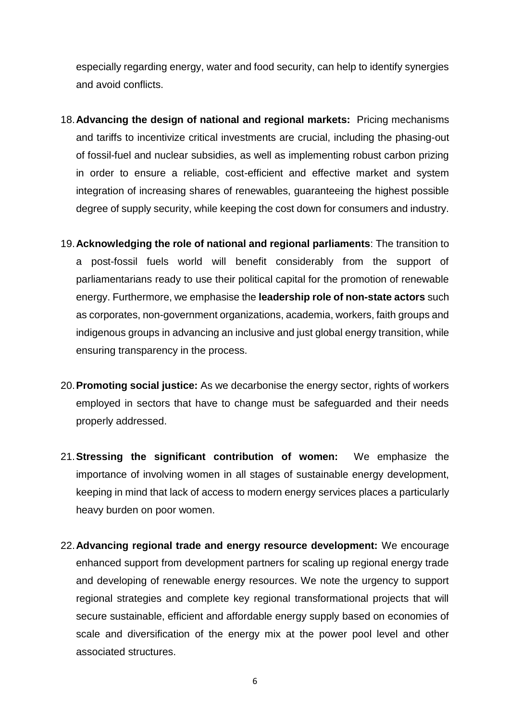especially regarding energy, water and food security, can help to identify synergies and avoid conflicts.

- 18.**Advancing the design of national and regional markets:** Pricing mechanisms and tariffs to incentivize critical investments are crucial, including the phasing-out of fossil-fuel and nuclear subsidies, as well as implementing robust carbon prizing in order to ensure a reliable, cost-efficient and effective market and system integration of increasing shares of renewables, guaranteeing the highest possible degree of supply security, while keeping the cost down for consumers and industry.
- 19.**Acknowledging the role of national and regional parliaments**: The transition to a post-fossil fuels world will benefit considerably from the support of parliamentarians ready to use their political capital for the promotion of renewable energy. Furthermore, we emphasise the **leadership role of non-state actors** such as corporates, non-government organizations, academia, workers, faith groups and indigenous groups in advancing an inclusive and just global energy transition, while ensuring transparency in the process.
- 20.**Promoting social justice:** As we decarbonise the energy sector, rights of workers employed in sectors that have to change must be safeguarded and their needs properly addressed.
- 21.**Stressing the significant contribution of women:** We emphasize the importance of involving women in all stages of sustainable energy development, keeping in mind that lack of access to modern energy services places a particularly heavy burden on poor women.
- 22.**Advancing regional trade and energy resource development:** We encourage enhanced support from development partners for scaling up regional energy trade and developing of renewable energy resources. We note the urgency to support regional strategies and complete key regional transformational projects that will secure sustainable, efficient and affordable energy supply based on economies of scale and diversification of the energy mix at the power pool level and other associated structures.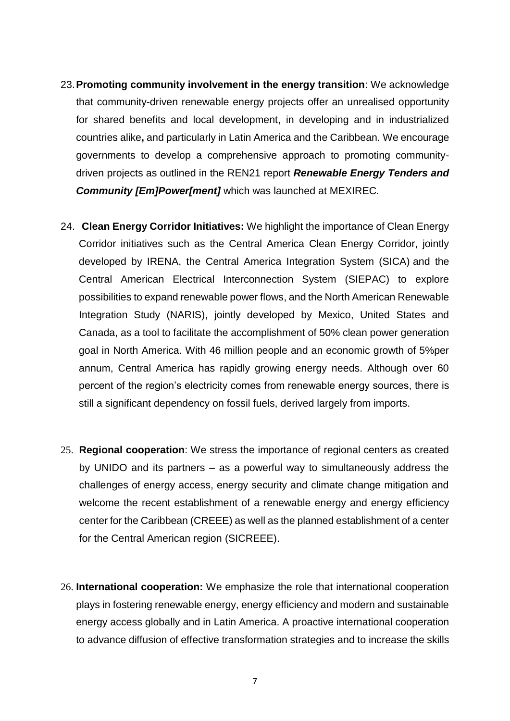- 23.**Promoting community involvement in the energy transition**: We acknowledge that community-driven renewable energy projects offer an unrealised opportunity for shared benefits and local development, in developing and in industrialized countries alike**,** and particularly in Latin America and the Caribbean. We encourage governments to develop a comprehensive approach to promoting communitydriven projects as outlined in the REN21 report *Renewable Energy Tenders and Community [Em]Power[ment]* which was launched at MEXIREC.
- 24. **Clean Energy Corridor Initiatives:** We highlight the importance of Clean Energy Corridor initiatives such as the Central America Clean Energy Corridor, jointly developed by IRENA, the [Central America Integration System \(SICA\)](http://www.sica.int/) and the Central American Electrical Interconnection System (SIEPAC) to explore possibilities to expand renewable power flows, and the North American Renewable Integration Study (NARIS), jointly developed by Mexico, United States and Canada, as a tool to facilitate the accomplishment of 50% clean power generation goal in North America. With 46 million people and an economic growth of 5%per annum, Central America has rapidly growing energy needs. Although over 60 percent of the region's electricity comes from renewable energy sources, there is still a significant dependency on fossil fuels, derived largely from imports.
- 25. **Regional cooperation**: We stress the importance of regional centers as created by UNIDO and its partners – as a powerful way to simultaneously address the challenges of energy access, energy security and climate change mitigation and welcome the recent establishment of a renewable energy and energy efficiency center for the Caribbean (CREEE) as well as the planned establishment of a center for the Central American region (SICREEE).
- 26. **International cooperation:** We emphasize the role that international cooperation plays in fostering renewable energy, energy efficiency and modern and sustainable energy access globally and in Latin America. A proactive international cooperation to advance diffusion of effective transformation strategies and to increase the skills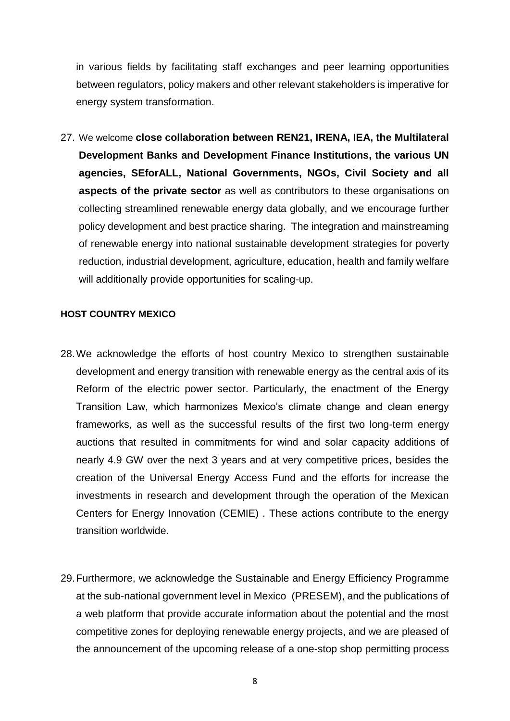in various fields by facilitating staff exchanges and peer learning opportunities between regulators, policy makers and other relevant stakeholders is imperative for energy system transformation.

27. We welcome **close collaboration between REN21, IRENA, IEA, the Multilateral Development Banks and Development Finance Institutions, the various UN agencies, SEforALL, National Governments, NGOs, Civil Society and all aspects of the private sector** as well as contributors to these organisations on collecting streamlined renewable energy data globally, and we encourage further policy development and best practice sharing. The integration and mainstreaming of renewable energy into national sustainable development strategies for poverty reduction, industrial development, agriculture, education, health and family welfare will additionally provide opportunities for scaling-up.

#### **HOST COUNTRY MEXICO**

- 28.We acknowledge the efforts of host country Mexico to strengthen sustainable development and energy transition with renewable energy as the central axis of its Reform of the electric power sector. Particularly, the enactment of the Energy Transition Law, which harmonizes Mexico's climate change and clean energy frameworks, as well as the successful results of the first two long-term energy auctions that resulted in commitments for wind and solar capacity additions of nearly 4.9 GW over the next 3 years and at very competitive prices, besides the creation of the Universal Energy Access Fund and the efforts for increase the investments in research and development through the operation of the Mexican Centers for Energy Innovation (CEMIE) . These actions contribute to the energy transition worldwide.
- 29.Furthermore, we acknowledge the Sustainable and Energy Efficiency Programme at the sub-national government level in Mexico (PRESEM), and the publications of a web platform that provide accurate information about the potential and the most competitive zones for deploying renewable energy projects, and we are pleased of the announcement of the upcoming release of a one-stop shop permitting process